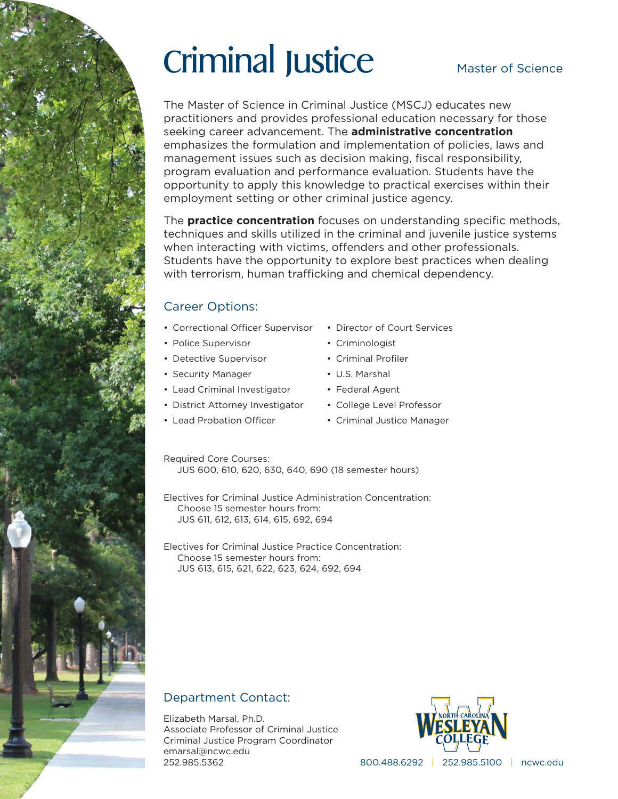# Criminal Justice

#### Master of Science

The Master of Science in Criminal Justice (MSCJ) educates new practitioners and provides professional education necessary for those seeking career advancement. The **administrative concentration** emphasizes the formulation and implementation of policies, laws and management issues such as decision making, fiscal responsibility, program evaluation and performance evaluation. Students have the opportunity to apply this knowledge to practical exercises within their employment setting or other criminal justice agency.

The **practice concentration** focuses on understanding specific methods, techniques and skills utilized in the criminal and juvenile justice systems when interacting with victims, offenders and other professionals. Students have the opportunity to explore best practices when dealing with terrorism, human trafficking and chemical dependency.

#### Career Options:

- Correctional Officer Supervisor
- Police Supervisor
- Detective Supervisor
- Security Manager
- Lead Criminal Investigator
- District Attorney Investigator
- Lead Probation Officer
- Director of Court Services
- Criminologist
- Criminal Profiler
- U.S. Marshal
- Federal Agent
- College Level Professor
- Criminal Justice Manager

Required Core Courses: JUS 600, 610, 620, 630, 640, 690 (18 semester hours)

Electives for Criminal Justice Administration Concentration: Choose 15 semester hours from: JUS 611, 612, 613, 614, 615, 692, 694

Electives for Criminal Justice Practice Concentration: Choose 15 semester hours from: JUS 613, 615, 621, 622, 623, 624, 692, 694

#### Department Contact:

Elizabeth Marsal, Ph.D. Associate Professor of Criminal Justice Criminal Justice Program Coordinator emarsal@ncwc.edu 252.985.5362



800.488.6292 | 252.985.5100 | ncwc.edu